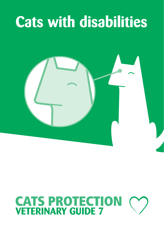## **Cats with disabilities**



# **CATS PROTECTION**<br>**VETERINARY GUIDE 7**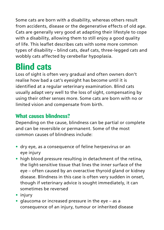Some cats are born with a disability, whereas others result from accidents, disease or the degenerative effects of old age. Cats are generally very good at adapting their lifestyle to cope with a disability, allowing them to still enjoy a good quality of life. This leaflet describes cats with some more common types of disability – blind cats, deaf cats, three-legged cats and wobbly cats affected by cerebellar hypoplasia.

## **Blind cats**

Loss of sight is often very gradual and often owners don't realise how bad a cat's eyesight has become until it is identified at a regular veterinary examination. Blind cats usually adapt very well to the loss of sight, compensating by using their other senses more. Some cats are born with no or limited vision and compensate from birth.

#### **What causes blindness?**

Depending on the cause, blindness can be partial or complete and can be reversible or permanent. Some of the most common causes of blindness include:

- **•** dry eye, as a consequence of feline herpesvirus or an eye injury
- **•** high blood pressure resulting in detachment of the retina, the light-sensitive tissue that lines the inner surface of the eye – often caused by an overactive thyroid gland or kidney disease. Blindness in this case is often very sudden in onset, though if veterinary advice is sought immediately, it can sometimes be reversed
- **•** injury
- **•** glaucoma or increased pressure in the eye as a consequence of an injury, tumour or inherited disease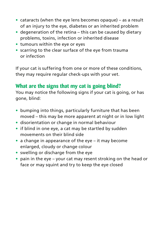- **•** cataracts (when the eye lens becomes opaque) as a result of an injury to the eye, diabetes or an inherited problem
- **•** degeneration of the retina this can be caused by dietary problems, toxins, infection or inherited disease
- **•** tumours within the eye or eyes
- **•** scarring to the clear surface of the eye from trauma or infection

If your cat is suffering from one or more of these conditions, they may require regular check-ups with your vet.

#### **What are the signs that my cat is going blind?**

You may notice the following signs if your cat is going, or has gone, blind:

- **•** bumping into things, particularly furniture that has been moved – this may be more apparent at night or in low light
- **•** disorientation or change in normal behaviour
- **•** if blind in one eye, a cat may be startled by sudden movements on their blind side
- **•** a change in appearance of the eye it may become enlarged, cloudy or change colour
- **•** swelling or discharge from the eye
- **•** pain in the eye your cat may resent stroking on the head or face or may squint and try to keep the eye closed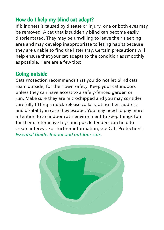#### **How do I help my blind cat adapt?**

If blindness is caused by disease or injury, one or both eyes may be removed. A cat that is suddenly blind can become easily disorientated. They may be unwilling to leave their sleeping area and may develop inappropriate toileting habits because they are unable to find the litter tray. Certain precautions will help ensure that your cat adapts to the condition as smoothly as possible. Here are a few tips:

#### **Going outside**

Cats Protection recommends that you do not let blind cats roam outside, for their own safety. Keep your cat indoors unless they can have access to a safely-fenced garden or run. Make sure they are microchipped and you may consider carefully fitting a quick-release collar stating their address and disability in case they escape. You may need to pay more attention to an indoor cat's environment to keep things fun for them. Interactive toys and puzzle feeders can help to create interest. For further information, see Cats Protection's *Essential Guide: Indoor and outdoor cats*.

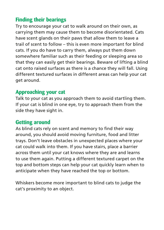#### **Finding their bearings**

Try to encourage your cat to walk around on their own, as carrying them may cause them to become disorientated. Cats have scent glands on their paws that allow them to leave a trail of scent to follow – this is even more important for blind cats. If you do have to carry them, always put them down somewhere familiar such as their feeding or sleeping area so that they can easily get their bearings. Beware of lifting a blind cat onto raised surfaces as there is a chance they will fall. Using different textured surfaces in different areas can help your cat get around.

#### **Approaching your cat**

Talk to your cat as you approach them to avoid startling them. If your cat is blind in one eye, try to approach them from the side they have sight in.

#### **Getting around**

As blind cats rely on scent and memory to find their way around, you should avoid moving furniture, food and litter trays. Don't leave obstacles in unexpected places where your cat could walk into them. If you have stairs, place a barrier across them until your cat knows where they are and learns to use them again. Putting a different textured carpet on the top and bottom steps can help your cat quickly learn when to anticipate when they have reached the top or bottom.

Whiskers become more important to blind cats to judge the cat's proximity to an object.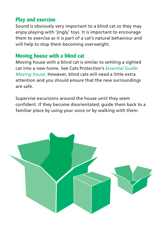#### **Play and exercise**

Sound is obviously very important to a blind cat so they may enjoy playing with 'jingly' toys. It is important to encourage them to exercise as it is part of a cat's natural behaviour and will help to stop them becoming overweight.

#### **Moving house with a blind cat**

Moving house with a blind cat is similar to settling a sighted cat into a new home. See Cats Protection's *Essential Guide: Moving house*. However, blind cats will need a little extra attention and you should ensure that the new surroundings are safe.

Supervise excursions around the house until they seem confident. If they become disorientated, guide them back to a familiar place by using your voice or by walking with them.

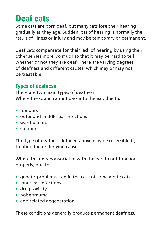## **Deaf cats**

Some cats are born deaf, but many cats lose their hearing gradually as they age. Sudden loss of hearing is normally the result of illness or injury and may be temporary or permanent.

Deaf cats compensate for their lack of hearing by using their other senses more, so much so that it may be hard to tell whether or not they are deaf. There are varying degrees of deafness and different causes, which may or may not be treatable.

#### **Types of deafness**

There are two main types of deafness: Where the sound cannot pass into the ear, due to:

- **•** tumours
- **•** outer and middle-ear infections
- **•** wax build up
- **•** ear mites

The type of deafness detailed above may be reversible by treating the underlying cause.

Where the nerves associated with the ear do not function properly, due to:

- **•** genetic problems eg in the case of some white cats
- **•** inner ear infections
- **•** drug toxicity
- **•** noise trauma
- **•** age-related degeneration

These conditions generally produce permanent deafness.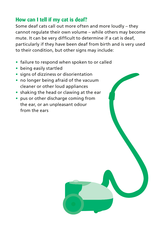#### **How can I tell if my cat is deaf?**

Some deaf cats call out more often and more loudly – they cannot regulate their own volume – while others may become mute. It can be very difficult to determine if a cat is deaf, particularly if they have been deaf from birth and is very used to their condition, but other signs may include:

- **•** failure to respond when spoken to or called
- **•** being easily startled
- **•** signs of dizziness or disorientation
- **•** no longer being afraid of the vacuum cleaner or other loud appliances
- **•** shaking the head or clawing at the ear
- **•** pus or other discharge coming from the ear, or an unpleasant odour from the ears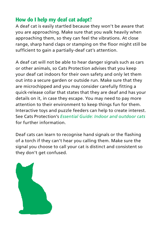#### **How do I help my deaf cat adapt?**

A deaf cat is easily startled because they won't be aware that you are approaching. Make sure that you walk heavily when approaching them, so they can feel the vibrations. At close range, sharp hand claps or stamping on the floor might still be sufficient to gain a partially-deaf cat's attention.

A deaf cat will not be able to hear danger signals such as cars or other animals, so Cats Protection advises that you keep your deaf cat indoors for their own safety and only let them out into a secure garden or outside run. Make sure that they are microchipped and you may consider carefully fitting a quick-release collar that states that they are deaf and has your details on it, in case they escape. You may need to pay more attention to their environment to keep things fun for them. Interactive toys and puzzle feeders can help to create interest. See Cats Protection's *Essential Guide: Indoor and outdoor cats* for further information.

Deaf cats can learn to recognise hand signals or the flashing of a torch if they can't hear you calling them. Make sure the signal you choose to call your cat is distinct and consistent so they don't get confused.

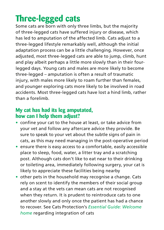## **Three-legged cats**

Some cats are born with only three limbs, but the majority of three-legged cats have suffered injury or disease, which has led to amputation of the affected limb. Cats adjust to a three-legged lifestyle remarkably well, although the initial adaptation process can be a little challenging. However, once adjusted, most three-legged cats are able to jump, climb, hunt and play albeit perhaps a little more slowly than in their fourlegged days. Young cats and males are more likely to become three-legged – amputation is often a result of traumatic injury, with males more likely to roam further than females, and younger exploring cats more likely to be involved in road accidents. Most three-legged cats have lost a hind limb, rather than a forelimb.

#### **My cat has had its leg amputated, how can I help them adjust?**

- **•** confine your cat to the house at least, or take advice from your vet and follow any aftercare advice they provide. Be sure to speak to your vet about the subtle signs of pain in cats, as this may need managing in the post-operative period
- **•** ensure there is easy access to a comfortable, easily accessible place to sleep, food, water, a litter tray and a scratching post. Although cats don't like to eat near to their drinking or toileting area, immediately following surgery, your cat is likely to appreciate these facilities being nearby
- **•** other pets in the household may recognise a change. Cats rely on scent to identify the members of their social group and a stay at the vets can mean cats are not recognised when they return. It is prudent to reintroduce cats to one another slowly and only once the patient has had a chance to recover. See Cats Protection's *Essential Guide: Welcome home* regarding integration of cats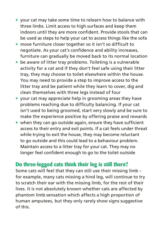- **•** your cat may take some time to relearn how to balance with three limbs. Limit access to high surfaces and keep them indoors until they are more confident. Provide stools that can be used as steps to help your cat to access things like the sofa
- **•** move furniture closer together so it isn't so difficult to negotiate. As your cat's confidence and ability increases, furniture can gradually be moved back to its normal location
- **•** be aware of litter tray problems. Toileting is a vulnerable activity for a cat and if they don't feel safe using their litter tray, they may choose to toilet elsewhere within the house. You may need to provide a step to improve access to the litter tray and be patient while they learn to cover, dig and clean themselves with three legs instead of four
- **•** your cat may appreciate help in grooming areas they have problems reaching due to difficulty balancing. If your cat isn't used to being groomed, start very slowly and be sure to make the experience positive by offering praise and rewards
- **•** when they can go outside again, ensure they have sufficient access to their entry and exit points. If a cat feels under threat while trying to exit the house, they may become reluctant to go outside and this could lead to a behaviour problem. Maintain access to a litter tray for your cat. They may no longer feel confident enough to go to the toilet outside

#### **Do three-legged cats think their leg is still there?**

Some cats will feel that they can still use their missing limb – for example, many cats missing a hind leg, will continue to try to scratch their ear with the missing limb, for the rest of their lives. It is not absolutely known whether cats are affected by phantom limb sensation which affects a high proportion of human amputees, but they only rarely show signs suggestive of this.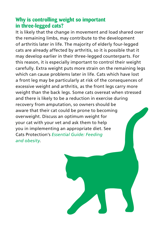#### **Why is controlling weight so important in three-legged cats?**

It is likely that the change in movement and load shared over the remaining limbs, may contribute to the development of arthritis later in life. The majority of elderly four-legged cats are already affected by arthritis, so it is possible that it may develop earlier in their three-legged counterparts. For this reason, it is especially important to control their weight carefully. Extra weight puts more strain on the remaining legs which can cause problems later in life. Cats which have lost a front leg may be particularly at risk of the consequences of excessive weight and arthritis, as the front legs carry more weight than the back legs. Some cats overeat when stressed and there is likely to be a reduction in exercise during recovery from amputation, so owners should be aware that their cat could be prone to becoming overweight. Discuss an optimum weight for your cat with your vet and ask them to help you in implementing an appropriate diet. See Cats Protection's *Essential Guide: Feeding and obesity*.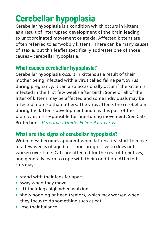## **Cerebellar hypoplasia**

Cerebellar hypoplasia is a condition which occurs in kittens as a result of interrupted development of the brain leading to uncoordinated movement or ataxia. Affected kittens are often referred to as 'wobbly kittens.' There can be many causes of ataxia, but this leaflet specifically addresses one of those causes – cerebellar hypoplasia.

#### **What causes cerebellar hypoplasia?**

Cerebellar hypoplasia occurs in kittens as a result of their mother being infected with a virus called feline parvovirus during pregnancy. It can also occasionally occur if the kitten is infected in the first few weeks after birth. Some or all of the litter of kittens may be affected and some individuals may be affected more so than others. The virus affects the cerebellum during the kitten's development and it is this part of the brain which is responsible for fine-tuning movement. See Cats Protection's *Veterinary Guide: Feline Parvovirus*.

#### **What are the signs of cerebellar hypoplasia?**

Wobbliness becomes apparent when kittens first start to move at a few weeks of age but is non-progressive so does not worsen over time. Cats are affected for the rest of their lives, and generally learn to cope with their condition. Affected cats may:

- **•** stand with their legs far apart
- **•** sway when they move
- **•** lift their legs high when walking
- **•** show nodding or head tremors, which may worsen when they focus to do something such as eat
- **•** lose their balance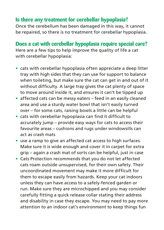#### **Is there any treatment for cerebellar hypoplasia?**

Once the cerebellum has been damaged in this way, it cannot be repaired, so there is no treatment for cerebellar hypoplasia.

### **Does a cat with cerebellar hypoplasia require special care?**

Here are a few tips to help improve the quality of life a cat with cerebellar hypoplasia:

- **•** cats with cerebellar hypoplasia often appreciate a deep litter tray with high sides that they can use for support to balance when toileting, but make sure the cat can get in and out of it without difficulty. A large tray gives the cat plenty of space to move around inside it, and ensures it can't be tipped up
- **•** affected cats can be messy eaters feed in an easily cleaned area and use a sturdy water bowl that isn't easily turned over – for some cats, raising bowls a little can be helpful
- **•** cats with cerebellar hypoplasia can find it difficult to accurately jump – provide easy ways for cats to access their favourite areas – cushions and rugs under windowsills can act as crash mats
- **•** use a ramp to give an affected cat access to high surfaces. Make sure it is wide enough and cover it in carpet for extra grip – again a crash mat of sorts can be helpful, just in case
- **•** Cats Protection recommends that you do not let affected cats roam outside unsupervised, for their own safety. Their uncoordinated movement may make it more difficult for them to escape easily from hazards. Keep your cat indoors unless they can have access to a safely-fenced garden or run. Make sure they are microchipped and you may consider carefully fitting a quick release collar stating their address and disability in case they escape. You may need to pay more attention to an indoor cat's environment to keep things fun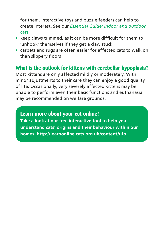for them. Interactive toys and puzzle feeders can help to create interest. See our *Essential Guide: Indoor and outdoor cats*

- **•** keep claws trimmed, as it can be more difficult for them to 'unhook' themselves if they get a claw stuck
- **•** carpets and rugs are often easier for affected cats to walk on than slippery floors

#### **What is the outlook for kittens with cerebellar hypoplasia?**

Most kittens are only affected mildly or moderately. With minor adjustments to their care they can enjoy a good quality of life. Occasionally, very severely affected kittens may be unable to perform even their basic functions and euthanasia may be recommended on welfare grounds.

**Learn more about your cat online! Take a look at our free interactive tool to help you understand cats' origins and their behaviour within our homes. http://learnonline.cats.org.uk/content/ufo**